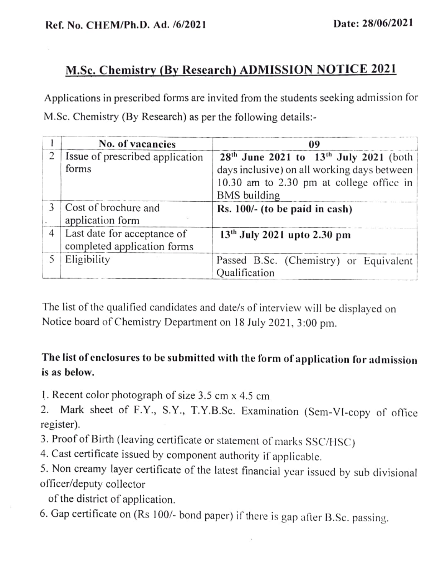## M.Sc. Chemistry (By Research) ADMISSION NOTICE 2021

Applications in prescribed forms are invited from the students seeking admission for M.Sc. Chemistry (By Research) as per the following details:-

|   | No. of vacancies                                           | 09                                                                                                                                                            |
|---|------------------------------------------------------------|---------------------------------------------------------------------------------------------------------------------------------------------------------------|
| 2 | Issue of prescribed application<br>forms                   | $28th$ June 2021 to $13th$ July 2021 (both)<br>days inclusive) on all working days between<br>10.30 am to 2.30 pm at college office in<br><b>BMS</b> building |
| 3 | Cost of brochure and<br>application form                   | Rs. $100/-$ (to be paid in cash)                                                                                                                              |
| 4 | Last date for acceptance of<br>completed application forms | 13 <sup>th</sup> July 2021 upto 2.30 pm                                                                                                                       |
| 5 | Eligibility                                                | Passed B.Sc. (Chemistry) or Equivalent<br>Qualification                                                                                                       |

The list of the qualified candidates and date/s of interview will be displayed on Notice board of Chemistry Department on 18 July 2021, 3:00 pm.

## The list of cnclosures to be submitted with the form of application for admission is as below.

1. Recent color photograph of size 3.5 cm x 4.5 em

2. Mark sheet of F.Y., S.Y., T.Y.B.Sc. Examination (Sem-VI-copy of office register).

3. Proof of Birth (leaving certificate or statement of marks SSC/HSC)

4. Cast certificate issued by component authority if applicable.

5. Non creamy layer certificate of the latest financial year issued by sub divisional officer/deputy collector

of the district of application.

6. Gap certificate on (Rs 100/- bond paper) if there is gap afier B.Sc. passing.